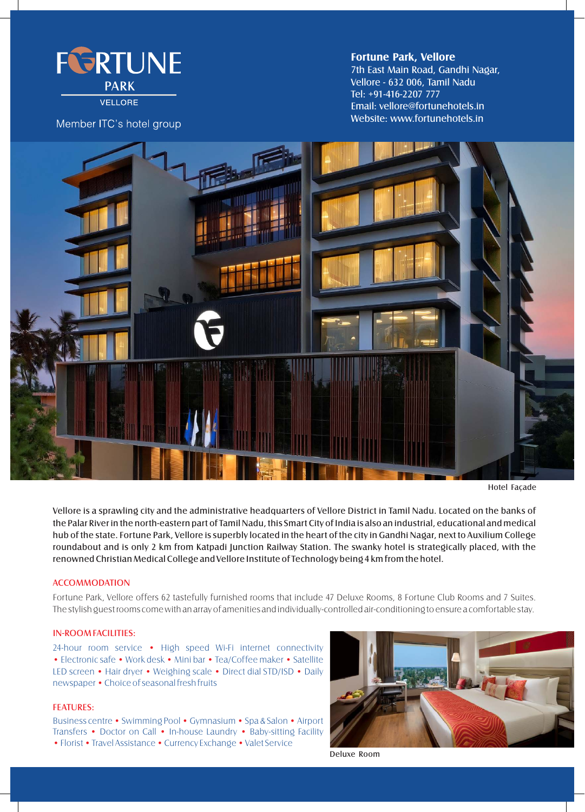

VELLORE

# Member ITC's hotel group

## 7th East Main Road, Gandhi Nagar, Vellore - 632 006, Tamil Nadu Tel: +91-416-2207 777 Email: vellore@fortunehotels.in Website: www.fortunehotels.in **Fortune Park, Vellore**



Hotel Façade

Vellore is a sprawling city and the administrative headquarters of Vellore District in Tamil Nadu. Located on the banks of the Palar River in the north-eastern part of Tamil Nadu, this Smart City of India is also an industrial, educational and medical hub of the state. Fortune Park, Vellore is superbly located in the heart of the city in Gandhi Nagar, next to Auxilium College roundabout and is only 2 km from Katpadi Junction Railway Station. The swanky hotel is strategically placed, with the renowned Christian Medical College and Vellore Institute of Technology being 4 km from the hotel.

## **ACCOMMODATION**

Fortune Park, Vellore offers 62 tastefully furnished rooms that include 47 Deluxe Rooms, 8 Fortune Club Rooms and 7 Suites. The stylish guest rooms come with an array of amenities and individually-controlled air-conditioning to ensure a comfortable stay.

#### IN-ROOM FACILITIES:

24-hour room service • High speed Wi-Fi internet connectivity • Electronic safe • Work desk • Mini bar • Tea/Coffee maker • Satellite LED screen • Hair dryer • Weighing scale • Direct dial STD/ISD • Daily newspaper •Choice of seasonal fresh fruits

#### FEATURES:

Business centre • Swimming Pool • Gymnasium • Spa & Salon • Airport Transfers • Doctor on Call • In-house Laundry • Baby-sitting Facility • Florist • Travel Assistance • Currency Exchange • Valet Service



Deluxe Room